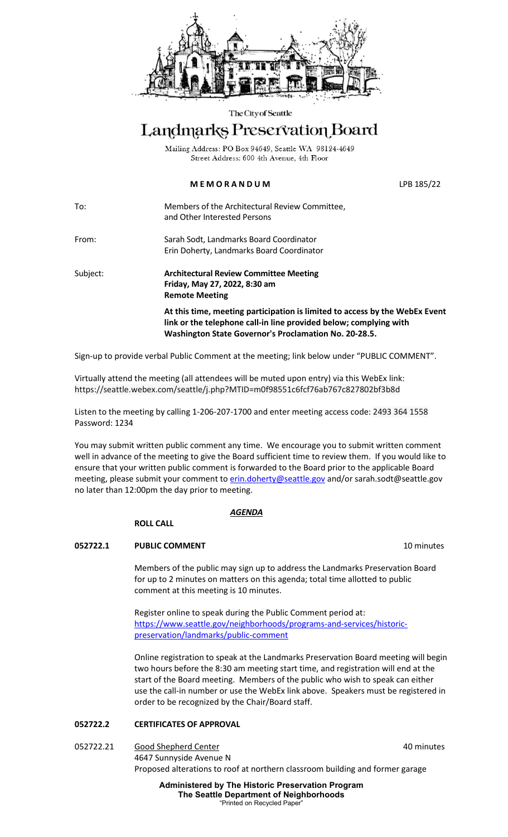

#### The City of Seattle

# Landmarks Preservation Board

Mailing Address: PO Box 94649, Seattle WA 98124-4649 Street Address: 600 4th Avenue, 4th Floor

## **M E M O R A N D U M** LPB 185/22

To: Members of the Architectural Review Committee, and Other Interested Persons

From: Sarah Sodt, Landmarks Board Coordinator Erin Doherty, Landmarks Board Coordinator

Subject: **Architectural Review Committee Meeting Friday, May 27, 2022, 8:30 am Remote Meeting At this time, meeting participation is limited to access by the WebEx Event link or the telephone call-in line provided below; complying with** 

**Washington State Governor's Proclamation No. 20-28.5.**

Sign-up to provide verbal Public Comment at the meeting; link below under "PUBLIC COMMENT".

Virtually attend the meeting (all attendees will be muted upon entry) via this WebEx link: https://seattle.webex.com/seattle/j.php?MTID=m0f98551c6fcf76ab767c827802bf3b8d

Listen to the meeting by calling 1-206-207-1700 and enter meeting access code: 2493 364 1558 Password: 1234

You may submit written public comment any time. We encourage you to submit written comment well in advance of the meeting to give the Board sufficient time to review them. If you would like to ensure that your written public comment is forwarded to the Board prior to the applicable Board meeting, please submit your comment to **erin.doherty@seattle.gov** and/o[r sarah.sodt@seattle.gov](mailto:sarah.sodt@seattle.gov) no later than 12:00pm the day prior to meeting.

#### *AGENDA*

#### **ROLL CALL**

### **052722.1** PUBLIC COMMENT **10 PUBLIC COMMENT**

Members of the public may sign up to address the Landmarks Preservation Board for up to 2 minutes on matters on this agenda; total time allotted to public comment at this meeting is 10 minutes.

Register online to speak during the Public Comment period at: [https://www.seattle.gov/neighborhoods/programs-and-services/historic](https://www.seattle.gov/neighborhoods/programs-and-services/historic-preservation/landmarks/public-comment)[preservation/landmarks/public-comment](https://www.seattle.gov/neighborhoods/programs-and-services/historic-preservation/landmarks/public-comment)

Online registration to speak at the Landmarks Preservation Board meeting will begin two hours before the 8:30 am meeting start time, and registration will end at the start of the Board meeting. Members of the public who wish to speak can either use the call-in number or use the WebEx link above. Speakers must be registered in order to be recognized by the Chair/Board staff.

### **052722.2 CERTIFICATES OF APPROVAL**

052722.21 Good Shepherd Center **600 Context** 60 Context 60 Minutes 4647 Sunnyside Avenue N Proposed alterations to roof at northern classroom building and former garage

> **Administered by The Historic Preservation Program The Seattle Department of Neighborhoods** "Printed on Recycled Paper"